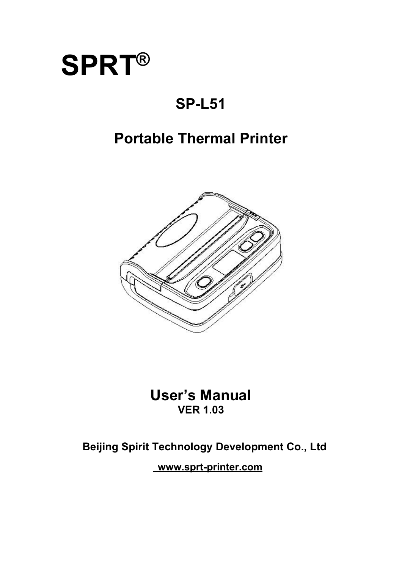

# **SP-L51**

# **Portable Thermal Printer**



**User's Manual VER 1.03**

# **Beijing Spirit Technology Development Co., Ltd**

**www.sprt-printer.com**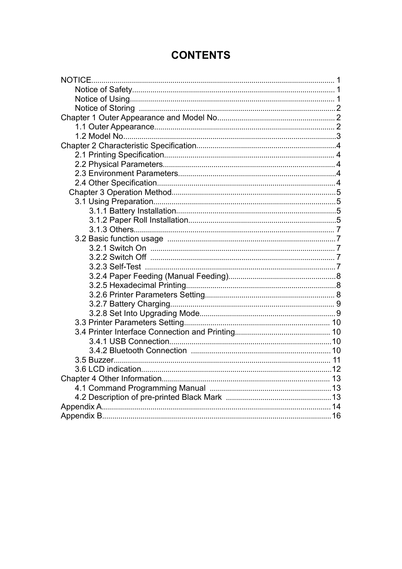# **CONTENTS**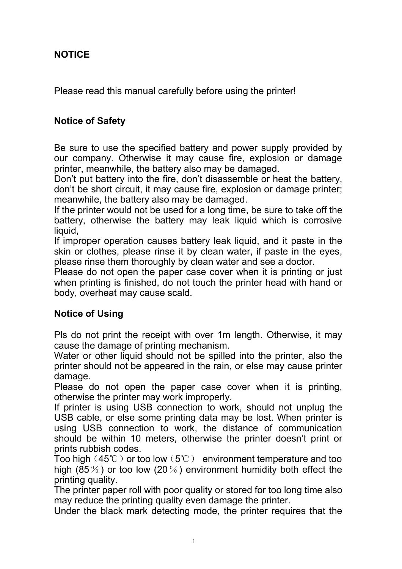### <span id="page-2-0"></span>**NOTICE**

Please read this manual carefully before using the printer!

#### <span id="page-2-1"></span>**Notice of Safety**

Be sure to use the specified battery and power supply provided by our company. Otherwise it may cause fire, explosion or damage printer, meanwhile, the battery also may be damaged.

Don't put battery into the fire, don't disassemble or heat the battery, don't be short circuit, it may cause fire, explosion or damage printer; meanwhile, the battery also may be damaged.

If the printer would not be used for a long time, be sure to take off the battery, otherwise the battery may leak liquid which is corrosive liquid.

If improper operation causes battery leak liquid, and it paste in the skin or clothes, please rinse it by clean water, if paste in the eyes, please rinse them thoroughly by clean water and see a doctor.

Please do not open the paper case cover when it is printing or just when printing is finished, do not touch the printer head with hand or body, overheat may cause scald.

#### <span id="page-2-2"></span>**Notice of Using**

Pls do not print the receipt with over 1m length. Otherwise, it may cause the damage of printing mechanism.

Water or other liquid should not be spilled into the printer, also the printer should not be appeared in the rain, or else may cause printer damage.

Please do not open the paper case cover when it is printing, otherwise the printer may work improperly.

If printer is using USB connection to work, should not unplug the USB cable, or else some printing data may be lost. When printer is using USB connection to work, the distance of communication should be within 10 meters, otherwise the printer doesn't print or prints rubbish codes.

Too high (45℃) or too low (5℃) environment temperature and too high (85%) or too low (20%) environment humidity both effect the printing quality.

The printer paper roll with poor quality or stored for too long time also may reduce the printing quality even damage the printer.

Under the black mark detecting mode, the printer requires that the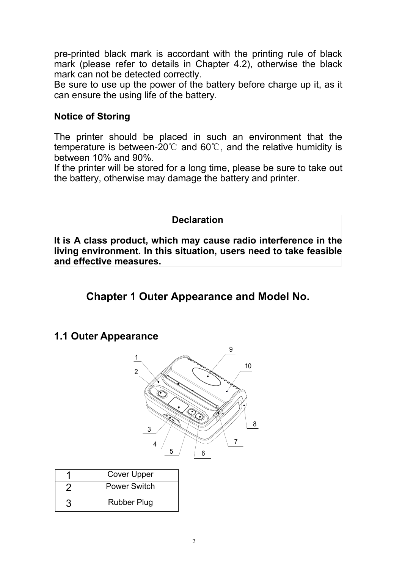pre-printed black mark is accordant with the printing rule of black mark (please refer to details in Chapter 4.2), otherwise the black mark can not be detected correctly.

Be sure to use up the power of the battery before charge up it, as it can ensure the using life of the battery.

#### <span id="page-3-0"></span>**Notice of Storing**

The printer should be placed in such an environment that the temperature is between-20℃ and 60℃, and the relative humidity is between 10% and 90%.

If the printer will be stored for a long time, please be sure to take out the battery, otherwise may damage the battery and printer.

#### **Declaration**

**It is A class product, which may cause radio interference in the living environment. In this situation, users need to take feasible and effective measures.**

# <span id="page-3-1"></span>**Chapter 1 Outer Appearance and Model No.**

#### <span id="page-3-2"></span>**1.1 Outer Appearance**



| <b>Cover Upper</b>  |
|---------------------|
| <b>Power Switch</b> |
| <b>Rubber Plug</b>  |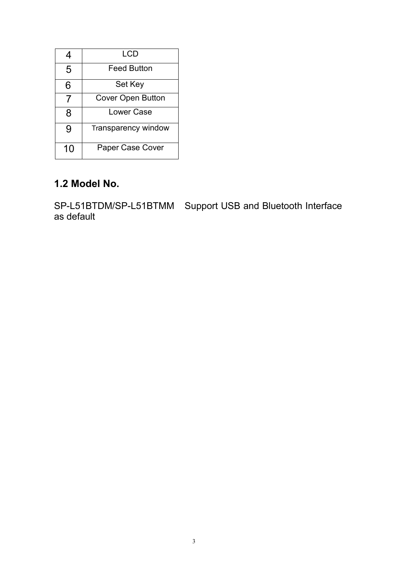|    | LCD                      |  |
|----|--------------------------|--|
| 5  | <b>Feed Button</b>       |  |
| 6  | Set Key                  |  |
| 7  | <b>Cover Open Button</b> |  |
| 8  | <b>Lower Case</b>        |  |
| 9  | Transparency window      |  |
| 10 | Paper Case Cover         |  |

#### <span id="page-4-0"></span>**1.2 Model No.**

SP-L51BTDM/SP-L51BTMM Support USB and Bluetooth Interface as default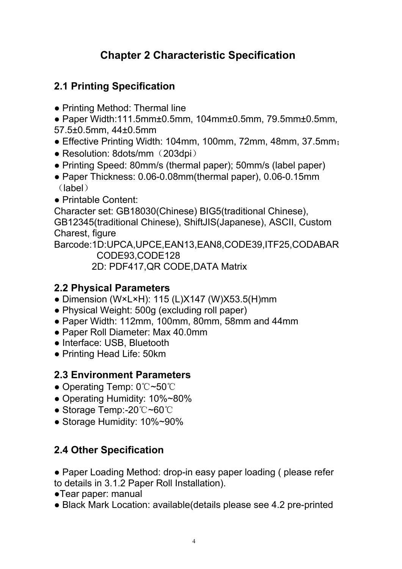# <span id="page-5-0"></span>**Chapter 2 Characteristic Specification**

# <span id="page-5-1"></span>**2.1 Printing Specification**

• Printing Method: Thermal line

● Paper Width:111.5mm±0.5mm, 104mm±0.5mm, 79.5mm±0.5mm, 57.5±0.5mm, 44±0.5mm

- Effective Printing Width: 104mm, 100mm, 72mm, 48mm, 37.5mm;
- Resolution: 8dots/mm (203dpi)
- Printing Speed: 80mm/s (thermal paper); 50mm/s (label paper)
- Paper Thickness: 0.06-0.08mm(thermal paper), 0.06-0.15mm (label)
- Printable Content:

Character set: GB18030(Chinese) BIG5(traditional Chinese), GB12345(traditional Chinese), ShiftJIS(Japanese), ASCII, Custom Charest, figure

Barcode:1D:UPCA,UPCE,EAN13,EAN8,CODE39,ITF25,CODABAR CODE93,CODE128

2D: PDF417,QR CODE,DATA Matrix

# <span id="page-5-2"></span>**2.2 Physical Parameters**

- Dimension (W×L×H): 115 (L)X147 (W)X53.5(H)mm
- Physical Weight: 500g (excluding roll paper)
- $\bullet$  Paper Width: 112mm, 100mm, 80mm, 58mm and 44mm
- Paper Roll Diameter: Max 40.0mm
- Interface: USB, Bluetooth
- Printing Head Life: 50km

# <span id="page-5-3"></span>**2.3 Environment Parameters**

- Operating Temp: 0℃~50℃
- Operating Humidity: 10%~80%
- Storage Temp:-20℃~60℃
- Storage Humidity: 10%~90%

# <span id="page-5-4"></span>**2.4 Other Specification**

• Paper Loading Method: drop-in easy paper loading (please refer to details in 3.1.2 Paper Roll Installation).

- ●Tear paper: manual
- Black Mark Location: available(details please see 4.2 pre-printed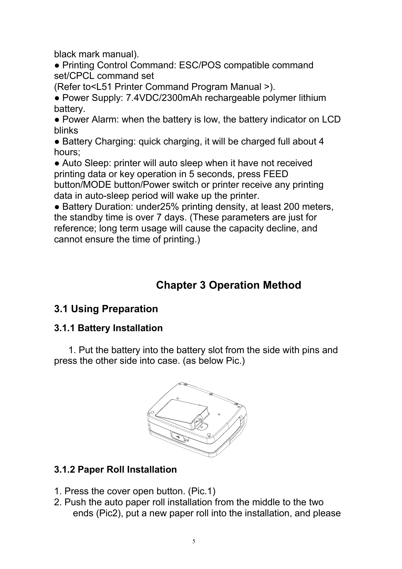black mark manual).

● Printing Control Command: ESC/POS compatible command set/CPCL command set

(Refer to<L51 Printer Command Program Manual >).

• Power Supply: 7.4VDC/2300mAh rechargeable polymer lithium battery.

• Power Alarm: when the battery is low, the battery indicator on LCD blinks

• Battery Charging: quick charging, it will be charged full about 4 hours;

• Auto Sleep: printer will auto sleep when it have not received printing data or key operation in 5 seconds, press FEED button/MODE button/Power switch or printer receive any printing data in auto-sleep period will wake up the printer.

● Battery Duration: under25% printing density, at least 200 meters, the standby time is over 7 days. (These parameters are just for reference; long term usage will cause the capacity decline, and cannot ensure the time of printing.)

# <span id="page-6-0"></span>**Chapter 3 Operation Method**

# <span id="page-6-1"></span>**3.1 Using Preparation**

### <span id="page-6-2"></span>**3.1.1 Battery Installation**

1. Put the battery into the battery slot from the side with pins and press the other side into case. (as below Pic.)



### <span id="page-6-3"></span>**3.1.2 Paper Roll Installation**

- 1. Press the cover open button. (Pic.1)
- 2. Push the auto paper roll installation from the middle to the two ends (Pic2), put a new paper roll into the installation, and please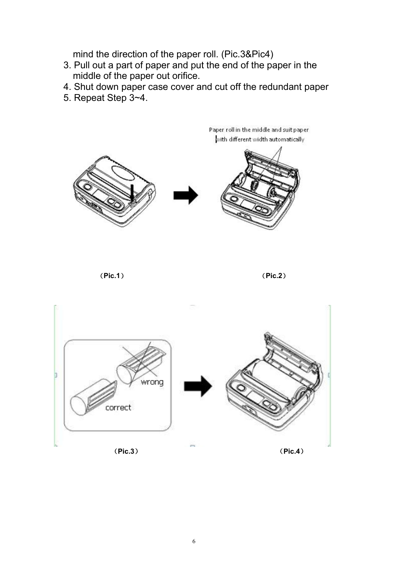mind the direction of the paper roll. (Pic.3&Pic4)

- 3. Pull out a part of paper and put the end of the paper in the middle of the paper out orifice.
- 4. Shut down paper case cover and cut off the redundant paper
- 5. Repeat Step 3~4.





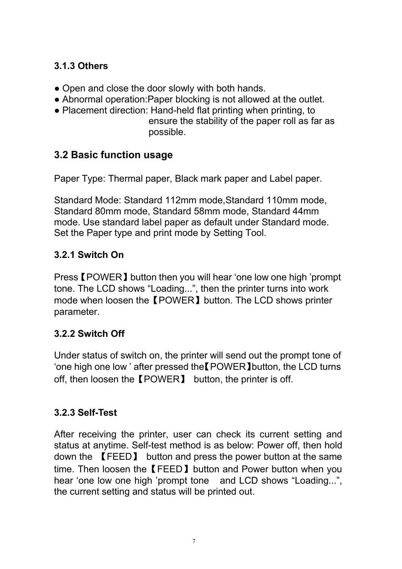### <span id="page-8-0"></span>**3.1.3 Others**

- Open and close the door slowly with both hands.
- Abnormal operation: Paper blocking is not allowed at the outlet.
- Placement direction: Hand-held flat printing when printing, to ensure the stability of the paper roll as far as possible.

## <span id="page-8-1"></span>**3.2 Basic function usage**

Paper Type: Thermal paper, Black mark paper and Label paper.

Standard Mode: Standard 112mm mode,Standard 110mm mode, Standard 80mm mode, Standard 58mm mode, Standard 44mm mode. Use standard label paper as default under Standard mode. Set the Paper type and print mode by Setting Tool.

## <span id="page-8-2"></span>**3.2.1 Switch On**

Press【POWER】button then you will hear 'one low one high 'prompt tone. The LCD shows "Loading...", then the printer turns into work mode when loosen the【POWER】button. The LCD shows printer parameter.

# <span id="page-8-3"></span>**3.2.2 Switch Off**

Under status of switch on, the printer will send out the prompt tone of 'one high one low ' after pressed the【POWER】button, the LCD turns off, then loosen the【POWER】 button, the printer is off.

# <span id="page-8-4"></span>**3.2.3 Self-Test**

After receiving the printer, user can check its current setting and status at anytime. Self-test method is as below: Power off, then hold down the 【FEED】 button and press the power button at the same time. Then loosen the【FEED】button and Power button when you hear 'one low one high 'prompt tone and LCD shows "Loading...", the current setting and status will be printed out.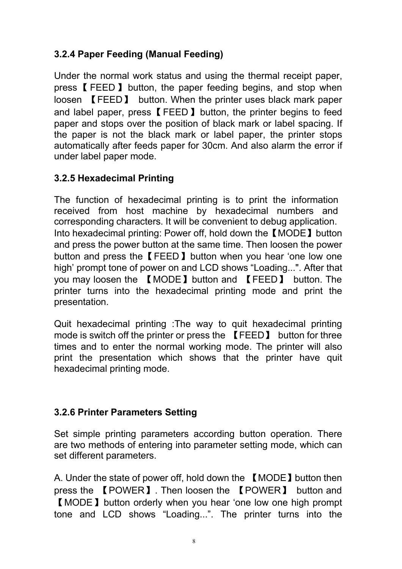#### <span id="page-9-0"></span>**3.2.4 Paper Feeding (Manual Feeding)**

Under the normal work status and using the thermal receipt paper, press【 FEED】 button, the paper feeding begins, and stop when loosen 【FEED】 button. When the printer uses black mark paper and label paper, press【FEED】button, the printer begins to feed paper and stops over the position of black mark or label spacing. If the paper is not the black mark or label paper, the printer stops automatically after feeds paper for 30cm. And also alarm the error if under label paper mode.

#### <span id="page-9-1"></span>**3.2.5 Hexadecimal Printing**

The function of hexadecimal printing is to print the information received from host machine by hexadecimal numbers and corresponding characters. It will be convenient to debug application. Into hexadecimal printing: Power off, hold down the【MODE】button and press the power button at the same time. Then loosen the power button and press the【FEED】button when you hear 'one low one high' prompt tone of power on and LCD shows "Loading...". After that you may loosen the 【MODE】button and 【FEED】 button. The printer turns into the hexadecimal printing mode and print the presentation.

Quit hexadecimal printing :The way to quit hexadecimal printing mode is switch off the printer or press the 【FEED】 button for three times and to enter the normal working mode. The printer will also print the presentation which shows that the printer have quit hexadecimal printing mode.

#### <span id="page-9-2"></span>**3.2.6 Printer Parameters Setting**

Set simple printing parameters according button operation. There are two methods of entering into parameter setting mode, which can set different parameters.

A. Under the state of power off, hold down the 【MODE】button then press the 【POWER】. Then loosen the 【POWER】 button and 【MODE】button orderly when you hear 'one low one high prompt tone and LCD shows "Loading...". The printer turns into the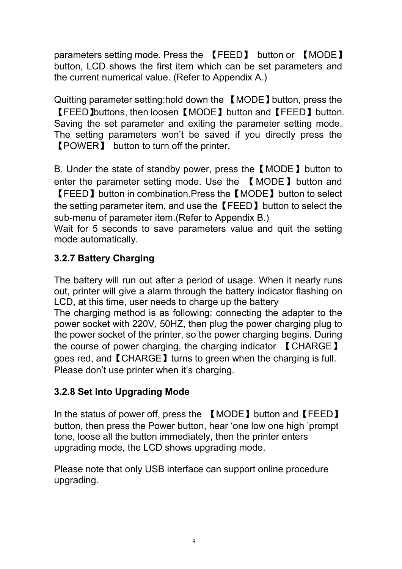parameters setting mode. Press the 【FEED】 button or 【MODE】 button, LCD shows the first item which can be set parameters and the current numerical value. (Refer to Appendix A.)

Quitting parameter setting:hold down the 【MODE】button, press the 【FEED】buttons, then loosen【MODE】button and【FEED】button. Saving the set parameter and exiting the parameter setting mode. The setting parameters won't be saved if you directly press the 【POWER】 button to turn off the printer.

B. Under the state of standby power, press the【MODE】button to enter the parameter setting mode. Use the 【MODE】button and 【FEED】button in combination.Press the【MODE】button to select the setting parameter item, and use the【FEED】button to select the sub-menu of parameter item.(Refer to Appendix B.)

Wait for 5 seconds to save parameters value and quit the setting mode automatically.

## <span id="page-10-0"></span>**3.2.7 Battery Charging**

The battery will run out after a period of usage. When it nearly runs out, printer will give a alarm through the battery indicator flashing on LCD, at this time, user needs to charge up the battery The charging method is as following: connecting the adapter to the power socket with 220V, 50HZ, then plug the power charging plug to the power socket of the printer, so the power charging begins. During the course of power charging, the charging indicator  $\blacksquare$  CHARGE  $\blacksquare$ goes red, and【CHARGE】turns to green when the charging is full. Please don't use printer when it's charging.

### <span id="page-10-1"></span>**3.2.8 Set Into Upgrading Mode**

In the status of power off, press the 【MODE】 button and【FEED】 button, then press the Power button, hear 'one low one high 'prompt tone, loose all the button immediately, then the printer enters upgrading mode, the LCD shows upgrading mode.

Please note that only USB interface can support online procedure upgrading.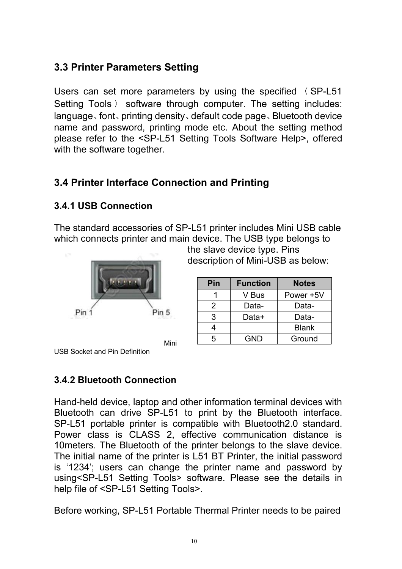# <span id="page-11-0"></span>**3.3 Printer Parameters Setting**

Users can set more parameters by using the specified 〈 SP-L51 Setting Tools 〉 software through computer. The setting includes: language、font、printing density、default code page、Bluetooth device name and password, printing mode etc. About the setting method please refer to the <SP-L51 Setting Tools Software Help>, offered with the software together.

# <span id="page-11-1"></span>**3.4 Printer Interface Connection and Printing**

#### <span id="page-11-2"></span>**3.4.1 USB Connection**

The standard accessories of SP-L51 printer includes Mini USB cable which connects printer and main device. The USB type belongs to



the slave device type. Pins description of Mini-USB as below:

| Pin | <b>Function</b> | <b>Notes</b> |
|-----|-----------------|--------------|
|     | V Bus           | Power +5V    |
| 2   | Data-           | Data-        |
| 3   | Data+           | Data-        |
| 4   |                 | <b>Blank</b> |
| 5   | GND             | Ground       |

USB Socket and Pin Definition

#### <span id="page-11-3"></span>**3.4.2 Bluetooth Connection**

Hand-held device, laptop and other information terminal devices with Bluetooth can drive SP-L51 to print by the Bluetooth interface. SP-L51 portable printer is compatible with Bluetooth2.0 standard. Power class is CLASS 2, effective communication distance is 10meters. The Bluetooth of the printer belongs to the slave device. The initial name of the printer is L51 BT Printer, the initial password is '1234'; users can change the printer name and password by using<SP-L51 Setting Tools> software. Please see the details in help file of <SP-L51 Setting Tools>.

Before working, SP-L51 Portable Thermal Printer needs to be paired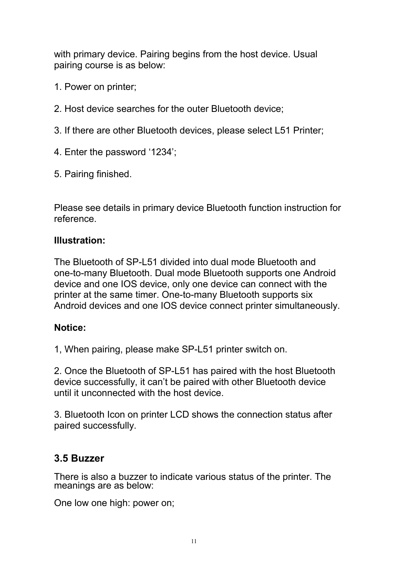with primary device. Pairing begins from the host device. Usual pairing course is as below:

- 1. Power on printer;
- 2. Host device searches for the outer Bluetooth device;
- 3. If there are other Bluetooth devices, please select L51 Printer;
- 4. Enter the password '1234';
- 5. Pairing finished.

Please see details in primary device Bluetooth function instruction for reference.

#### **Illustration:**

The Bluetooth of SP-L51 divided into dual mode Bluetooth and one-to-many Bluetooth. Dual mode Bluetooth supports one Android device and one IOS device, only one device can connect with the printer at the same timer. One-to-many Bluetooth supports six Android devices and one IOS device connect printer simultaneously.

#### **Notice:**

1, When pairing, please make SP-L51 printer switch on.

2. Once the Bluetooth of SP-L51 has paired with the host Bluetooth device successfully, it can't be paired with other Bluetooth device until it unconnected with the host device.

3. Bluetooth Icon on printer LCD shows the connection status after paired successfully.

#### <span id="page-12-0"></span>**3.5 Buzzer**

There is also a buzzer to indicate various status of the printer. The meanings are as below:

One low one high: power on;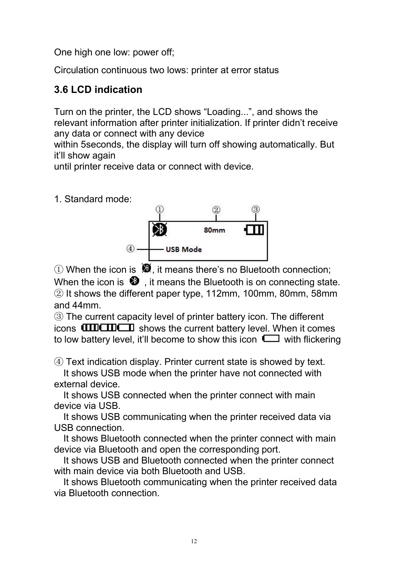One high one low: power off;

Circulation continuous two lows: printer at error status

# <span id="page-13-0"></span>**3.6 LCD indication**

Turn on the printer, the LCD shows "Loading...", and shows the relevant information after printer initialization. If printer didn't receive any data or connect with any device

within 5seconds, the display will turn off showing automatically. But it'll show again

until printer receive data or connect with device.

1. Standard mode:



 $\Omega$  When the icon is  $\mathbf{\mathfrak{B}}$ , it means there's no Bluetooth connection; When the icon is  $\mathbf{\mathfrak{D}}$  , it means the Bluetooth is on connecting state. ② It shows the different paper type, 112mm, 100mm, 80mm, 58mm and 44mm.

③ The current capacity level of printer battery icon. The different icons  $\text{unorm}$  shows the current battery level. When it comes to low battery level, it'll become to show this icon  $\Box$  with flickering

④ Text indication display. Printer current state is showed by text.

It shows USB mode when the printer have not connected with external device.

It shows USB connected when the printer connect with main device via USB.

It shows USB communicating when the printer received data via USB connection.

It shows Bluetooth connected when the printer connect with main device via Bluetooth and open the corresponding port.

It shows USB and Bluetooth connected when the printer connect with main device via both Bluetooth and USB.

It shows Bluetooth communicating when the printer received data via Bluetooth connection.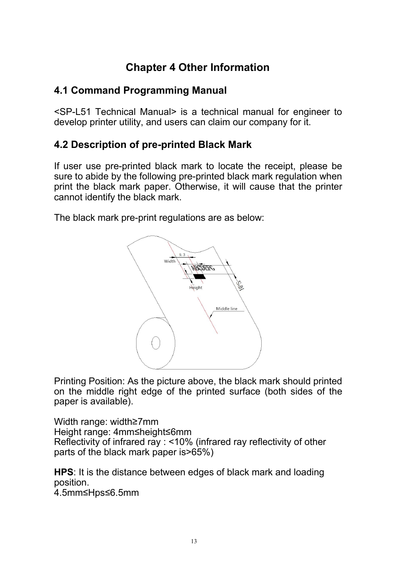# <span id="page-14-0"></span>**Chapter 4 Other Information**

### <span id="page-14-1"></span>**4.1 Command Programming Manual**

<SP-L51 Technical Manual> is a technical manual for engineer to develop printer utility, and users can claim our company for it.

## <span id="page-14-2"></span>**4.2 Description of pre-printed Black Mark**

If user use pre-printed black mark to locate the receipt, please be sure to abide by the following pre-printed black mark regulation when print the black mark paper. Otherwise, it will cause that the printer cannot identify the black mark.

The black mark pre-print regulations are as below:



Printing Position: As the picture above, the black mark should printed on the middle right edge of the printed surface (both sides of the paper is available).

Width range: width≥7mm Height range: 4mm≤height≤6mm Reflectivity of infrared ray : <10% (infrared ray reflectivity of other parts of the black mark paper is>65%)

**HPS**: It is the distance between edges of black mark and loading position.

4.5mm≤Hps≤6.5mm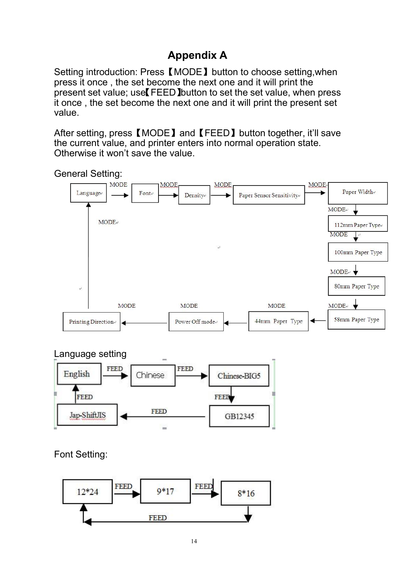# <span id="page-15-0"></span>**Appendix A**

Setting introduction: Press【MODE】button to choose setting,when press it once , the set become the next one and it will print the present set value; use【FEED】button to set the set value, when press it once , the set become the next one and it will print the present set value.

After setting, press【MODE】and【FEED】button together, it'll save the current value, and printer enters into normal operation state. Otherwise it won't save the value.



Language setting



Font Setting:

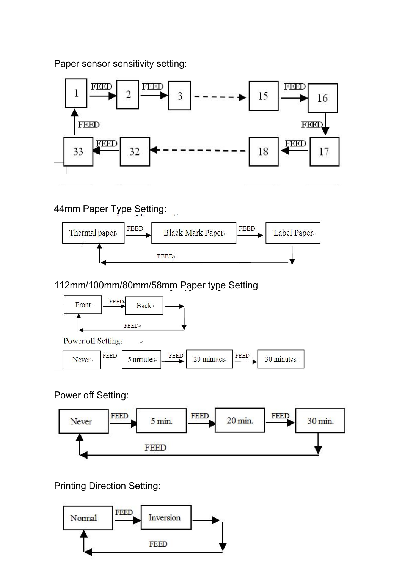Paper sensor sensitivity setting:



# 44mm Paper Type Setting:



112mm/100mm/80mm/58mm Paper type Setting





Power off Setting:



Printing Direction Setting:

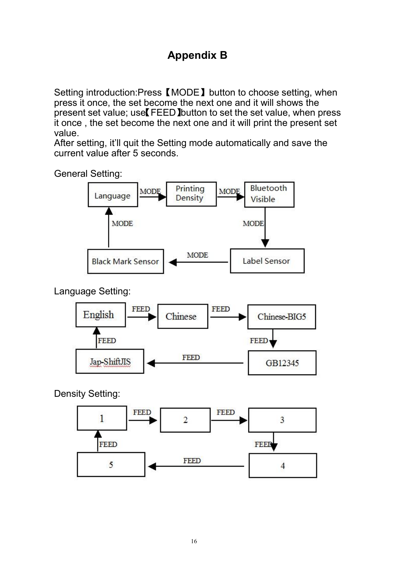# <span id="page-17-0"></span>**Appendix B**

Setting introduction:Press【MODE】button to choose setting, when press it once, the set become the next one and it will shows the present set value; use【FEED】button to set the set value, when press it once , the set become the next one and it will print the present set value.

After setting, it'll quit the Setting mode automatically and save the current value after 5 seconds.

General Setting:



Language Setting:



Density Setting: